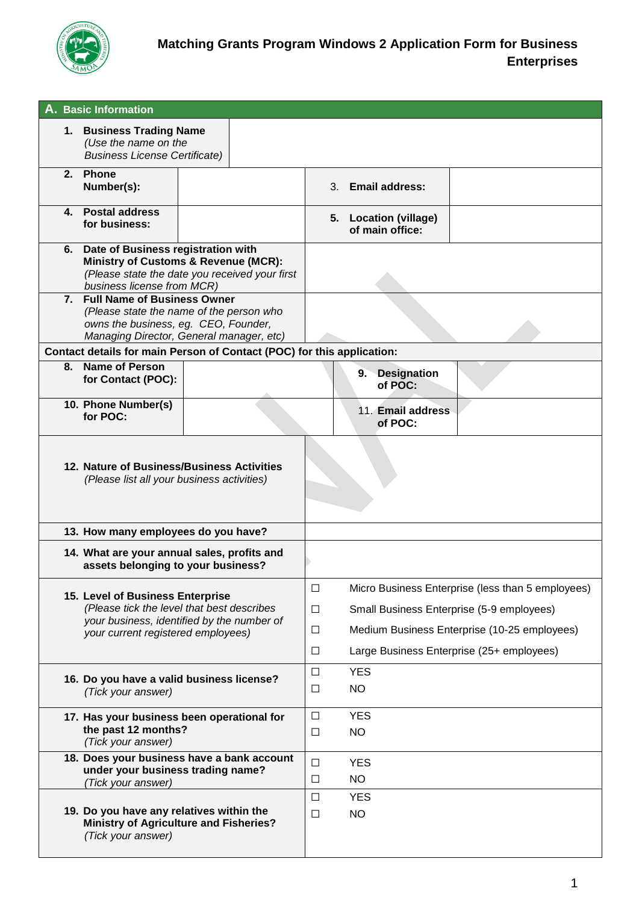

| A. Basic Information                                                                     |                                                                                                                                                                       |  |                                      |                         |                         |                                                                                                                                                                                             |  |
|------------------------------------------------------------------------------------------|-----------------------------------------------------------------------------------------------------------------------------------------------------------------------|--|--------------------------------------|-------------------------|-------------------------|---------------------------------------------------------------------------------------------------------------------------------------------------------------------------------------------|--|
|                                                                                          | 1. Business Trading Name<br>(Use the name on the<br><b>Business License Certificate)</b>                                                                              |  |                                      |                         |                         |                                                                                                                                                                                             |  |
|                                                                                          | 2. Phone<br>Number(s):                                                                                                                                                |  |                                      | 3.                      |                         | <b>Email address:</b>                                                                                                                                                                       |  |
| 4.                                                                                       | <b>Postal address</b><br>for business:                                                                                                                                |  |                                      |                         |                         | 5. Location (village)<br>of main office:                                                                                                                                                    |  |
| 6.                                                                                       | Date of Business registration with<br><b>Ministry of Customs &amp; Revenue (MCR):</b><br>(Please state the date you received your first<br>business license from MCR) |  |                                      |                         |                         |                                                                                                                                                                                             |  |
|                                                                                          | 7. Full Name of Business Owner<br>(Please state the name of the person who<br>owns the business, eg. CEO, Founder,<br>Managing Director, General manager, etc)        |  |                                      |                         |                         |                                                                                                                                                                                             |  |
|                                                                                          | Contact details for main Person of Contact (POC) for this application:                                                                                                |  |                                      |                         |                         |                                                                                                                                                                                             |  |
| 8.                                                                                       | <b>Name of Person</b><br>for Contact (POC):                                                                                                                           |  |                                      |                         |                         | 9. Designation<br>of POC:                                                                                                                                                                   |  |
|                                                                                          | 10. Phone Number(s)<br>for POC:                                                                                                                                       |  |                                      |                         |                         | 11. Email address<br>of POC:                                                                                                                                                                |  |
| 12. Nature of Business/Business Activities<br>(Please list all your business activities) |                                                                                                                                                                       |  |                                      |                         |                         |                                                                                                                                                                                             |  |
|                                                                                          | 13. How many employees do you have?                                                                                                                                   |  |                                      |                         |                         |                                                                                                                                                                                             |  |
|                                                                                          | 14. What are your annual sales, profits and<br>assets belonging to your business?                                                                                     |  |                                      |                         |                         |                                                                                                                                                                                             |  |
|                                                                                          | 15. Level of Business Enterprise<br>(Please tick the level that best describes<br>your business, identified by the number of<br>your current registered employees)    |  | $\Box$<br>$\Box$<br>$\Box$<br>$\Box$ |                         |                         | Micro Business Enterprise (less than 5 employees)<br>Small Business Enterprise (5-9 employees)<br>Medium Business Enterprise (10-25 employees)<br>Large Business Enterprise (25+ employees) |  |
|                                                                                          | 16. Do you have a valid business license?<br>(Tick your answer)                                                                                                       |  | $\Box$<br>□                          | <b>YES</b><br><b>NO</b> |                         |                                                                                                                                                                                             |  |
|                                                                                          | 17. Has your business been operational for<br>the past 12 months?<br>(Tick your answer)                                                                               |  | $\Box$<br>$\Box$                     | <b>YES</b><br><b>NO</b> |                         |                                                                                                                                                                                             |  |
|                                                                                          | 18. Does your business have a bank account<br>under your business trading name?<br>(Tick your answer)                                                                 |  |                                      | $\Box$<br>□             | <b>YES</b><br><b>NO</b> |                                                                                                                                                                                             |  |
|                                                                                          | 19. Do you have any relatives within the<br><b>Ministry of Agriculture and Fisheries?</b><br>(Tick your answer)                                                       |  | □<br>$\Box$                          | <b>YES</b><br><b>NO</b> |                         |                                                                                                                                                                                             |  |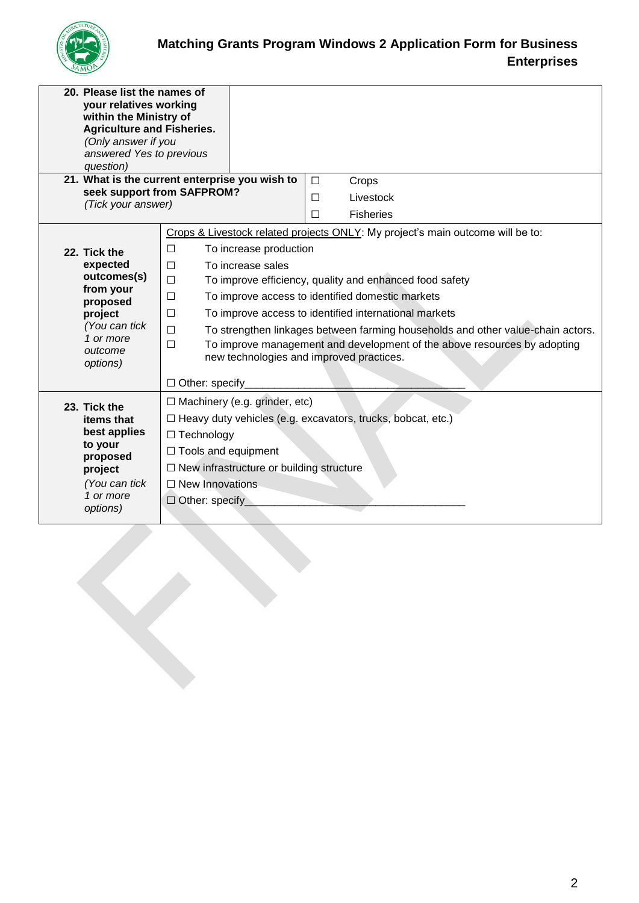

| 20. Please list the names of<br>your relatives working<br>within the Ministry of<br>(Only answer if you<br>question) | <b>Agriculture and Fisheries.</b><br>answered Yes to previous                          |                                                                                 |  |  |  |
|----------------------------------------------------------------------------------------------------------------------|----------------------------------------------------------------------------------------|---------------------------------------------------------------------------------|--|--|--|
|                                                                                                                      | 21. What is the current enterprise you wish to<br>$\Box$<br>seek support from SAFPROM? | Crops                                                                           |  |  |  |
| (Tick your answer)                                                                                                   | П                                                                                      | Livestock                                                                       |  |  |  |
|                                                                                                                      | П                                                                                      | <b>Fisheries</b>                                                                |  |  |  |
|                                                                                                                      |                                                                                        | Crops & Livestock related projects ONLY: My project's main outcome will be to:  |  |  |  |
| 22. Tick the                                                                                                         | $\Box$<br>To increase production                                                       |                                                                                 |  |  |  |
| expected                                                                                                             | To increase sales<br>П                                                                 |                                                                                 |  |  |  |
| outcomes(s)<br>from your                                                                                             | $\Box$                                                                                 | To improve efficiency, quality and enhanced food safety                         |  |  |  |
| proposed                                                                                                             | To improve access to identified domestic markets<br>□                                  |                                                                                 |  |  |  |
| project                                                                                                              | $\Box$                                                                                 | To improve access to identified international markets                           |  |  |  |
| (You can tick<br>1 or more                                                                                           | $\Box$                                                                                 | To strengthen linkages between farming households and other value-chain actors. |  |  |  |
| outcome                                                                                                              | □<br>new technologies and improved practices.                                          | To improve management and development of the above resources by adopting        |  |  |  |
| options)                                                                                                             |                                                                                        |                                                                                 |  |  |  |
|                                                                                                                      | $\Box$ Other: specify                                                                  |                                                                                 |  |  |  |
| 23. Tick the                                                                                                         | $\Box$ Machinery (e.g. grinder, etc)                                                   |                                                                                 |  |  |  |
| items that                                                                                                           |                                                                                        | $\Box$ Heavy duty vehicles (e.g. excavators, trucks, bobcat, etc.)              |  |  |  |
| best applies                                                                                                         | $\Box$ Technology                                                                      |                                                                                 |  |  |  |
| to your<br>proposed                                                                                                  | $\Box$ Tools and equipment                                                             |                                                                                 |  |  |  |
| project                                                                                                              |                                                                                        | $\Box$ New infrastructure or building structure                                 |  |  |  |
| (You can tick                                                                                                        | $\Box$ New Innovations                                                                 |                                                                                 |  |  |  |
| 1 or more                                                                                                            | $\Box$ Other: specify                                                                  |                                                                                 |  |  |  |
| options)                                                                                                             |                                                                                        |                                                                                 |  |  |  |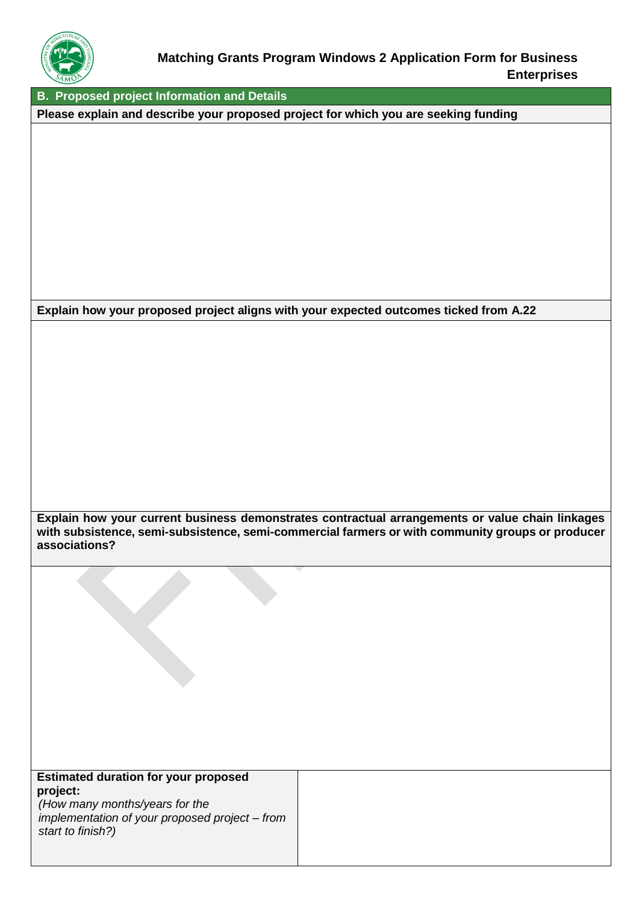

**B. Proposed project Information and Details**

**Please explain and describe your proposed project for which you are seeking funding**

**Explain how your proposed project aligns with your expected outcomes ticked from A.22**

**Explain how your current business demonstrates contractual arrangements or value chain linkages with subsistence, semi-subsistence, semi-commercial farmers or with community groups or producer associations?**

| <b>Estimated duration for your proposed</b> |  |  |
|---------------------------------------------|--|--|
| project:                                    |  |  |
|                                             |  |  |

*(How many months/years for the implementation of your proposed project – from start to finish?)*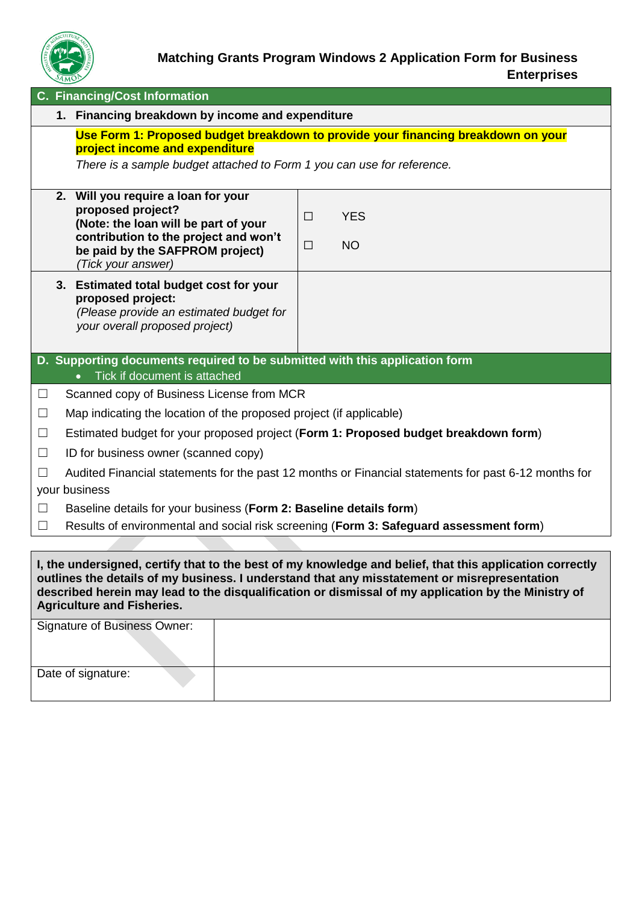

## **Matching Grants Program Windows 2 Application Form for Business Enterprises**

|                                                                                                                                                                                                                                                                                                                                                      |                                                                                                                       | <b>C. Financing/Cost Information</b>                                                                                                                                                               |                                             |  |
|------------------------------------------------------------------------------------------------------------------------------------------------------------------------------------------------------------------------------------------------------------------------------------------------------------------------------------------------------|-----------------------------------------------------------------------------------------------------------------------|----------------------------------------------------------------------------------------------------------------------------------------------------------------------------------------------------|---------------------------------------------|--|
|                                                                                                                                                                                                                                                                                                                                                      |                                                                                                                       | 1. Financing breakdown by income and expenditure                                                                                                                                                   |                                             |  |
|                                                                                                                                                                                                                                                                                                                                                      |                                                                                                                       | Use Form 1: Proposed budget breakdown to provide your financing breakdown on your<br>project income and expenditure<br>There is a sample budget attached to Form 1 you can use for reference.      |                                             |  |
|                                                                                                                                                                                                                                                                                                                                                      |                                                                                                                       | 2. Will you require a loan for your<br>proposed project?<br>(Note: the loan will be part of your<br>contribution to the project and won't<br>be paid by the SAFPROM project)<br>(Tick your answer) | <b>YES</b><br>$\Box$<br><b>NO</b><br>$\Box$ |  |
|                                                                                                                                                                                                                                                                                                                                                      |                                                                                                                       | 3. Estimated total budget cost for your<br>proposed project:<br>(Please provide an estimated budget for<br>your overall proposed project)                                                          |                                             |  |
|                                                                                                                                                                                                                                                                                                                                                      |                                                                                                                       | D. Supporting documents required to be submitted with this application form<br>Tick if document is attached                                                                                        |                                             |  |
| $\Box$                                                                                                                                                                                                                                                                                                                                               |                                                                                                                       | Scanned copy of Business License from MCR                                                                                                                                                          |                                             |  |
| $\Box$                                                                                                                                                                                                                                                                                                                                               |                                                                                                                       | Map indicating the location of the proposed project (if applicable)                                                                                                                                |                                             |  |
| $\Box$                                                                                                                                                                                                                                                                                                                                               | Estimated budget for your proposed project (Form 1: Proposed budget breakdown form)                                   |                                                                                                                                                                                                    |                                             |  |
| $\Box$                                                                                                                                                                                                                                                                                                                                               | ID for business owner (scanned copy)                                                                                  |                                                                                                                                                                                                    |                                             |  |
| $\Box$                                                                                                                                                                                                                                                                                                                                               | Audited Financial statements for the past 12 months or Financial statements for past 6-12 months for<br>your business |                                                                                                                                                                                                    |                                             |  |
| $\Box$                                                                                                                                                                                                                                                                                                                                               |                                                                                                                       | Baseline details for your business (Form 2: Baseline details form)                                                                                                                                 |                                             |  |
| $\Box$                                                                                                                                                                                                                                                                                                                                               |                                                                                                                       | Results of environmental and social risk screening (Form 3: Safeguard assessment form)                                                                                                             |                                             |  |
|                                                                                                                                                                                                                                                                                                                                                      |                                                                                                                       |                                                                                                                                                                                                    |                                             |  |
| I, the undersigned, certify that to the best of my knowledge and belief, that this application correctly<br>outlines the details of my business. I understand that any misstatement or misrepresentation<br>described herein may lead to the disqualification or dismissal of my application by the Ministry of<br><b>Agriculture and Fisheries.</b> |                                                                                                                       |                                                                                                                                                                                                    |                                             |  |
|                                                                                                                                                                                                                                                                                                                                                      |                                                                                                                       | <b>Signature of Business Owner:</b>                                                                                                                                                                |                                             |  |

Date of signature: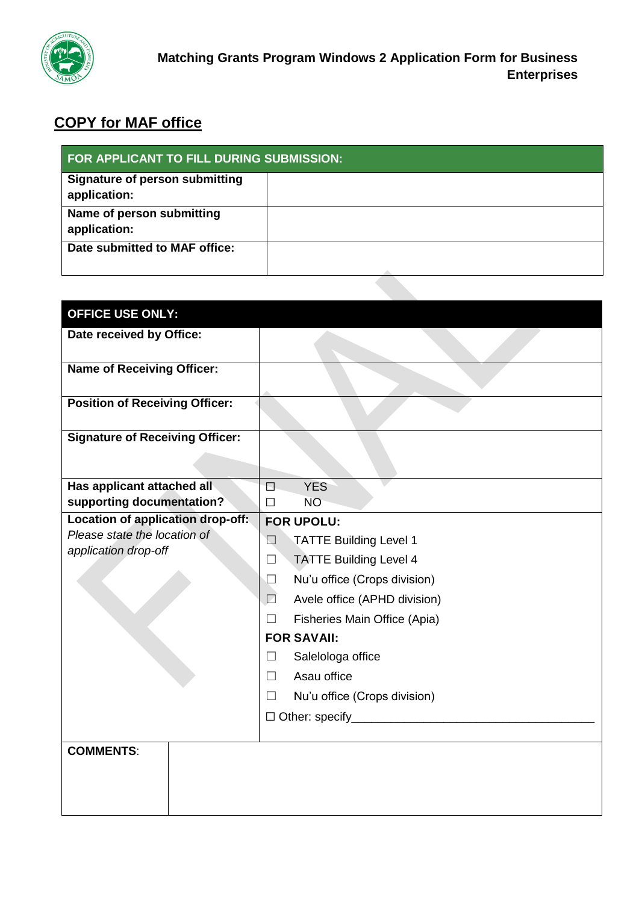

## **COPY for MAF office**

| <b>FOR APPLICANT TO FILL DURING SUBMISSION:</b>       |  |  |
|-------------------------------------------------------|--|--|
| <b>Signature of person submitting</b><br>application: |  |  |
| Name of person submitting<br>application:             |  |  |
| Date submitted to MAF office:                         |  |  |

| <b>OFFICE USE ONLY:</b>                |                                                   |
|----------------------------------------|---------------------------------------------------|
| Date received by Office:               |                                                   |
| <b>Name of Receiving Officer:</b>      |                                                   |
| <b>Position of Receiving Officer:</b>  |                                                   |
| <b>Signature of Receiving Officer:</b> |                                                   |
| Has applicant attached all             | <b>YES</b><br>П                                   |
| supporting documentation?              | <b>NO</b><br>П                                    |
| Location of application drop-off:      | <b>FOR UPOLU:</b>                                 |
| Please state the location of           | $\Box$<br><b>TATTE Building Level 1</b>           |
| application drop-off                   | <b>TATTE Building Level 4</b><br>$\Box$           |
|                                        | Nu'u office (Crops division)<br>⊔                 |
|                                        | Avele office (APHD division)<br>$\Box$            |
|                                        | Fisheries Main Office (Apia)<br>$\Box$            |
|                                        | <b>FOR SAVAII:</b>                                |
|                                        | Salelologa office<br>$\vert \ \ \vert$            |
|                                        | Asau office<br>П                                  |
|                                        | Nu'u office (Crops division)<br>$\vert \ \ \vert$ |
|                                        |                                                   |
|                                        |                                                   |
| <b>COMMENTS:</b>                       |                                                   |
|                                        |                                                   |
|                                        |                                                   |
|                                        |                                                   |